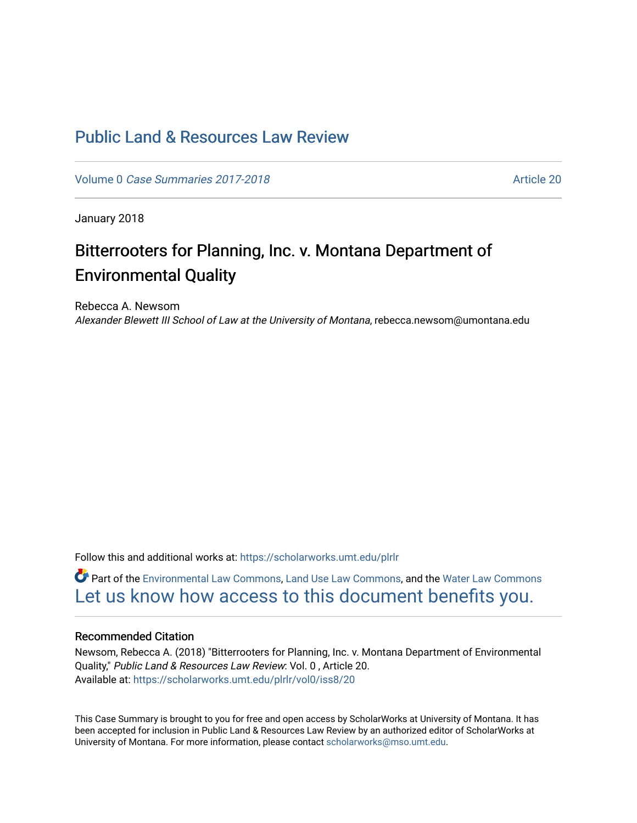# [Public Land & Resources Law Review](https://scholarworks.umt.edu/plrlr)

Volume 0 [Case Summaries 2017-2018](https://scholarworks.umt.edu/plrlr/vol0) Article 20

January 2018

# Bitterrooters for Planning, Inc. v. Montana Department of Environmental Quality

Rebecca A. Newsom Alexander Blewett III School of Law at the University of Montana, rebecca.newsom@umontana.edu

Follow this and additional works at: [https://scholarworks.umt.edu/plrlr](https://scholarworks.umt.edu/plrlr?utm_source=scholarworks.umt.edu%2Fplrlr%2Fvol0%2Fiss8%2F20&utm_medium=PDF&utm_campaign=PDFCoverPages) 

Part of the [Environmental Law Commons](http://network.bepress.com/hgg/discipline/599?utm_source=scholarworks.umt.edu%2Fplrlr%2Fvol0%2Fiss8%2F20&utm_medium=PDF&utm_campaign=PDFCoverPages), [Land Use Law Commons,](http://network.bepress.com/hgg/discipline/852?utm_source=scholarworks.umt.edu%2Fplrlr%2Fvol0%2Fiss8%2F20&utm_medium=PDF&utm_campaign=PDFCoverPages) and the [Water Law Commons](http://network.bepress.com/hgg/discipline/887?utm_source=scholarworks.umt.edu%2Fplrlr%2Fvol0%2Fiss8%2F20&utm_medium=PDF&utm_campaign=PDFCoverPages) [Let us know how access to this document benefits you.](https://goo.gl/forms/s2rGfXOLzz71qgsB2) 

# Recommended Citation

Newsom, Rebecca A. (2018) "Bitterrooters for Planning, Inc. v. Montana Department of Environmental Quality," Public Land & Resources Law Review: Vol. 0 , Article 20. Available at: [https://scholarworks.umt.edu/plrlr/vol0/iss8/20](https://scholarworks.umt.edu/plrlr/vol0/iss8/20?utm_source=scholarworks.umt.edu%2Fplrlr%2Fvol0%2Fiss8%2F20&utm_medium=PDF&utm_campaign=PDFCoverPages)

This Case Summary is brought to you for free and open access by ScholarWorks at University of Montana. It has been accepted for inclusion in Public Land & Resources Law Review by an authorized editor of ScholarWorks at University of Montana. For more information, please contact [scholarworks@mso.umt.edu.](mailto:scholarworks@mso.umt.edu)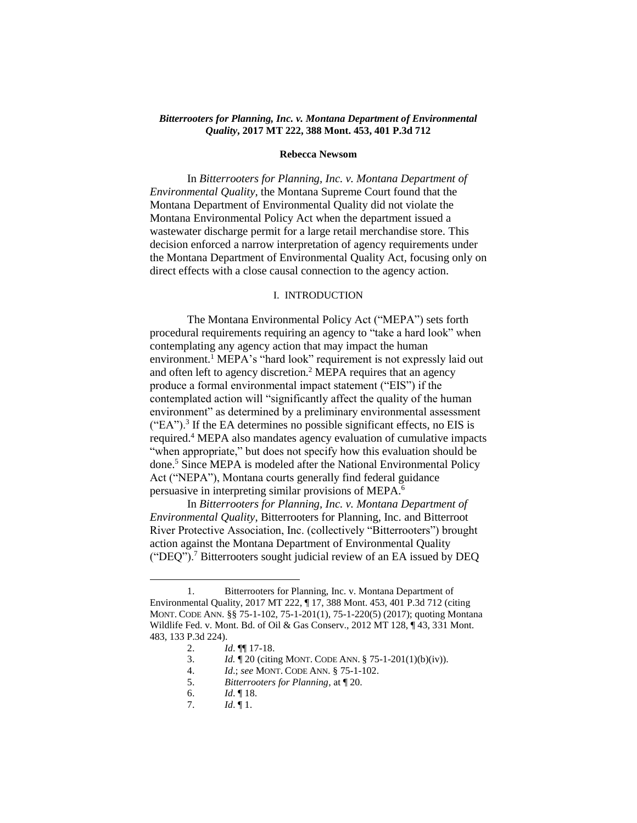### *Bitterrooters for Planning, Inc. v. Montana Department of Environmental Quality***, 2017 MT 222, 388 Mont. 453, 401 P.3d 712**

### **Rebecca Newsom**

In *Bitterrooters for Planning, Inc. v. Montana Department of Environmental Quality*, the Montana Supreme Court found that the Montana Department of Environmental Quality did not violate the Montana Environmental Policy Act when the department issued a wastewater discharge permit for a large retail merchandise store. This decision enforced a narrow interpretation of agency requirements under the Montana Department of Environmental Quality Act, focusing only on direct effects with a close causal connection to the agency action.

#### I. INTRODUCTION

The Montana Environmental Policy Act ("MEPA") sets forth procedural requirements requiring an agency to "take a hard look" when contemplating any agency action that may impact the human environment.<sup>1</sup> MEPA's "hard look" requirement is not expressly laid out and often left to agency discretion.<sup>2</sup> MEPA requires that an agency produce a formal environmental impact statement ("EIS") if the contemplated action will "significantly affect the quality of the human environment" as determined by a preliminary environmental assessment  $("EA")$ .<sup>3</sup> If the EA determines no possible significant effects, no EIS is required.<sup>4</sup> MEPA also mandates agency evaluation of cumulative impacts "when appropriate," but does not specify how this evaluation should be done.<sup>5</sup> Since MEPA is modeled after the National Environmental Policy Act ("NEPA"), Montana courts generally find federal guidance persuasive in interpreting similar provisions of MEPA.<sup>6</sup>

In *Bitterrooters for Planning, Inc. v. Montana Department of Environmental Quality*, Bitterrooters for Planning, Inc. and Bitterroot River Protective Association, Inc. (collectively "Bitterrooters") brought action against the Montana Department of Environmental Quality ("DEQ").<sup>7</sup> Bitterrooters sought judicial review of an EA issued by DEQ

<sup>1.</sup> Bitterrooters for Planning, Inc. v. Montana Department of Environmental Quality, 2017 MT 222, ¶ 17, 388 Mont. 453, 401 P.3d 712 (citing MONT. CODE ANN. §§ 75-1-102, 75-1-201(1), 75-1-220(5) (2017); quoting Montana Wildlife Fed. v. Mont. Bd. of Oil & Gas Conserv., 2012 MT 128, ¶ 43, 331 Mont. 483, 133 P.3d 224).

<sup>2.</sup> *Id*. ¶¶ 17-18.

<sup>3.</sup> *Id.* ¶ 20 (citing MONT. CODE ANN. § 75-1-201(1)(b)(iv)).

<sup>4.</sup> *Id*.; *see* MONT. CODE ANN. § 75-1-102.

<sup>5.</sup> *Bitterrooters for Planning*, at ¶ 20.

<sup>6.</sup> *Id*. ¶ 18.

<sup>7.</sup> *Id*. ¶ 1.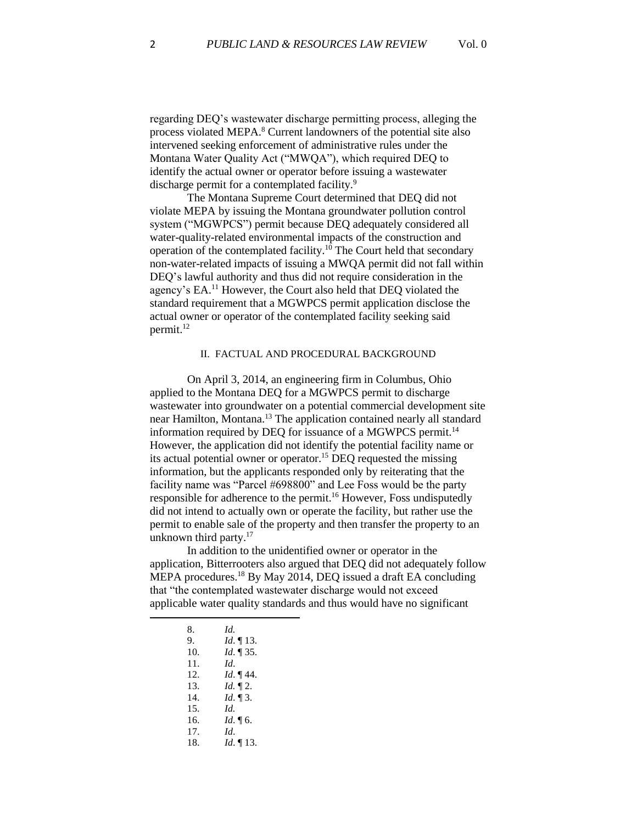regarding DEQ's wastewater discharge permitting process, alleging the process violated MEPA.<sup>8</sup> Current landowners of the potential site also intervened seeking enforcement of administrative rules under the Montana Water Quality Act ("MWQA"), which required DEQ to identify the actual owner or operator before issuing a wastewater discharge permit for a contemplated facility.<sup>9</sup>

The Montana Supreme Court determined that DEQ did not violate MEPA by issuing the Montana groundwater pollution control system ("MGWPCS") permit because DEQ adequately considered all water-quality-related environmental impacts of the construction and operation of the contemplated facility.<sup>10</sup> The Court held that secondary non-water-related impacts of issuing a MWQA permit did not fall within DEQ's lawful authority and thus did not require consideration in the agency's EA.<sup>11</sup> However, the Court also held that DEQ violated the standard requirement that a MGWPCS permit application disclose the actual owner or operator of the contemplated facility seeking said permit.<sup>12</sup>

# II. FACTUAL AND PROCEDURAL BACKGROUND

On April 3, 2014, an engineering firm in Columbus, Ohio applied to the Montana DEQ for a MGWPCS permit to discharge wastewater into groundwater on a potential commercial development site near Hamilton, Montana.<sup>13</sup> The application contained nearly all standard information required by DEQ for issuance of a MGWPCS permit.<sup>14</sup> However, the application did not identify the potential facility name or its actual potential owner or operator. <sup>15</sup> DEQ requested the missing information, but the applicants responded only by reiterating that the facility name was "Parcel #698800" and Lee Foss would be the party responsible for adherence to the permit.<sup>16</sup> However, Foss undisputedly did not intend to actually own or operate the facility, but rather use the permit to enable sale of the property and then transfer the property to an unknown third party.<sup>17</sup>

In addition to the unidentified owner or operator in the application, Bitterrooters also argued that DEQ did not adequately follow MEPA procedures.<sup>18</sup> By May 2014, DEQ issued a draft EA concluding that "the contemplated wastewater discharge would not exceed applicable water quality standards and thus would have no significant

| 8.  | Id.             |
|-----|-----------------|
| 9.  | <i>Id.</i> 13.  |
| 10. | <i>Id.</i> 135. |
| 11. | Id              |
| 12. | Id. 144.        |
| 13. | Id. $\P$ 2.     |
| 14. | $Id. \P 3.$     |
| 15. | Id.             |
| 16. | <i>Id.</i> 16.  |
| 17. | Id.             |
| 18. | <i>Id.</i> 13.  |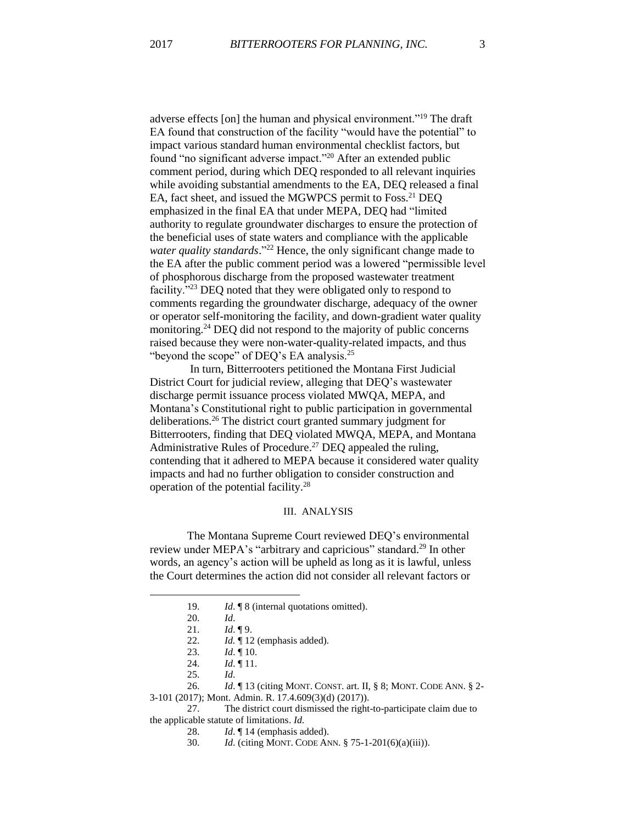adverse effects [on] the human and physical environment."<sup>19</sup> The draft EA found that construction of the facility "would have the potential" to impact various standard human environmental checklist factors, but found "no significant adverse impact."<sup>20</sup> After an extended public comment period, during which DEQ responded to all relevant inquiries while avoiding substantial amendments to the EA, DEQ released a final EA, fact sheet, and issued the MGWPCS permit to Foss.<sup>21</sup> DEQ emphasized in the final EA that under MEPA, DEQ had "limited authority to regulate groundwater discharges to ensure the protection of the beneficial uses of state waters and compliance with the applicable *water quality standards*." <sup>22</sup> Hence, the only significant change made to the EA after the public comment period was a lowered "permissible level of phosphorous discharge from the proposed wastewater treatment facility."<sup>23</sup> DEQ noted that they were obligated only to respond to comments regarding the groundwater discharge, adequacy of the owner or operator self-monitoring the facility, and down-gradient water quality monitoring.<sup>24</sup> DEQ did not respond to the majority of public concerns raised because they were non-water-quality-related impacts, and thus "beyond the scope" of DEQ's EA analysis.<sup>25</sup>

In turn, Bitterrooters petitioned the Montana First Judicial District Court for judicial review, alleging that DEQ's wastewater discharge permit issuance process violated MWQA, MEPA, and Montana's Constitutional right to public participation in governmental deliberations.<sup>26</sup> The district court granted summary judgment for Bitterrooters, finding that DEQ violated MWQA, MEPA, and Montana Administrative Rules of Procedure.<sup>27</sup> DEQ appealed the ruling, contending that it adhered to MEPA because it considered water quality impacts and had no further obligation to consider construction and operation of the potential facility.<sup>28</sup>

#### III. ANALYSIS

The Montana Supreme Court reviewed DEQ's environmental review under MEPA's "arbitrary and capricious" standard.<sup>29</sup> In other words, an agency's action will be upheld as long as it is lawful, unless the Court determines the action did not consider all relevant factors or

 $\overline{\phantom{a}}$ 

<sup>19.</sup> *Id*. ¶ 8 (internal quotations omitted).

<sup>20.</sup> *Id*.

<sup>21.</sup> *Id*. ¶ 9.

<sup>22.</sup> *Id.* ¶ 12 (emphasis added).

<sup>23.</sup> *Id*. ¶ 10.

<sup>24.</sup> *Id.*  $\P$  11.

<sup>25.</sup> *Id*.

<sup>26.</sup> *Id*. ¶ 13 (citing MONT. CONST. art. II, § 8; MONT. CODE ANN. § 2- 3-101 (2017); Mont. Admin. R. 17.4.609(3)(d) (2017)).

<sup>27.</sup> The district court dismissed the right-to-participate claim due to the applicable statute of limitations. *Id*.

<sup>28.</sup> *Id*. ¶ 14 (emphasis added).

<sup>30.</sup> *Id*. (citing MONT. CODE ANN. § 75-1-201(6)(a)(iii)).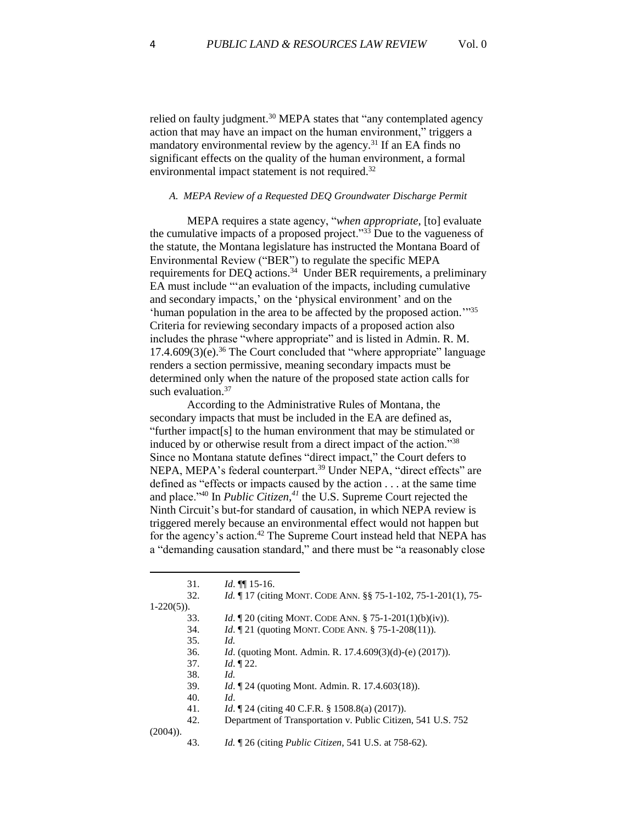l

relied on faulty judgment.<sup>30</sup> MEPA states that "any contemplated agency action that may have an impact on the human environment," triggers a mandatory environmental review by the agency.<sup>31</sup> If an EA finds no significant effects on the quality of the human environment, a formal environmental impact statement is not required.<sup>32</sup>

# *A. MEPA Review of a Requested DEQ Groundwater Discharge Permit*

MEPA requires a state agency, "*when appropriate*, [to] evaluate the cumulative impacts of a proposed project."<sup>33</sup> Due to the vagueness of the statute, the Montana legislature has instructed the Montana Board of Environmental Review ("BER") to regulate the specific MEPA requirements for DEQ actions.<sup>34</sup> Under BER requirements, a preliminary EA must include "'an evaluation of the impacts, including cumulative and secondary impacts,' on the 'physical environment' and on the 'human population in the area to be affected by the proposed action.'" 35 Criteria for reviewing secondary impacts of a proposed action also includes the phrase "where appropriate" and is listed in Admin. R. M.  $17.4.609(3)$ (e).<sup>36</sup> The Court concluded that "where appropriate" language renders a section permissive, meaning secondary impacts must be determined only when the nature of the proposed state action calls for such evaluation. $37$ 

According to the Administrative Rules of Montana, the secondary impacts that must be included in the EA are defined as, "further impact[s] to the human environment that may be stimulated or induced by or otherwise result from a direct impact of the action."<sup>38</sup> Since no Montana statute defines "direct impact," the Court defers to NEPA, MEPA's federal counterpart.<sup>39</sup> Under NEPA, "direct effects" are defined as "effects or impacts caused by the action . . . at the same time and place."<sup>40</sup> In *Public Citizen*, *<sup>41</sup>* the U.S. Supreme Court rejected the Ninth Circuit's but-for standard of causation, in which NEPA review is triggered merely because an environmental effect would not happen but for the agency's action.<sup>42</sup> The Supreme Court instead held that NEPA has a "demanding causation standard," and there must be "a reasonably close

|               | 31. | $Id. \P\P 15-16.$                                                        |
|---------------|-----|--------------------------------------------------------------------------|
|               | 32. | <i>Id.</i> 17 (citing MONT. CODE ANN. §§ 75-1-102, 75-1-201(1), 75-      |
| $1-220(5)$ ). |     |                                                                          |
|               | 33. | <i>Id.</i> $\mathbb{I}20$ (citing MONT. CODE ANN. § 75-1-201(1)(b)(iv)). |
|               | 34. | <i>Id.</i> 121 (quoting MONT. CODE ANN. § 75-1-208(11)).                 |
|               | 35. | Id.                                                                      |
|               | 36. | <i>Id.</i> (quoting Mont. Admin. R. 17.4.609(3)(d)-(e) (2017)).          |
|               | 37. | <i>Id.</i> $\P$ 22.                                                      |
|               | 38. | Id.                                                                      |
|               | 39. | <i>Id.</i> 124 (quoting Mont. Admin. R. 17.4.603(18)).                   |
|               | 40. | Id.                                                                      |
|               | 41. | <i>Id.</i> 124 (citing 40 C.F.R. § 1508.8(a) (2017)).                    |
|               | 42. | Department of Transportation v. Public Citizen, 541 U.S. 752             |
| $(2004)$ ).   |     |                                                                          |
|               | 43. | <i>Id.</i> 126 (citing <i>Public Citizen</i> , 541 U.S. at 758-62).      |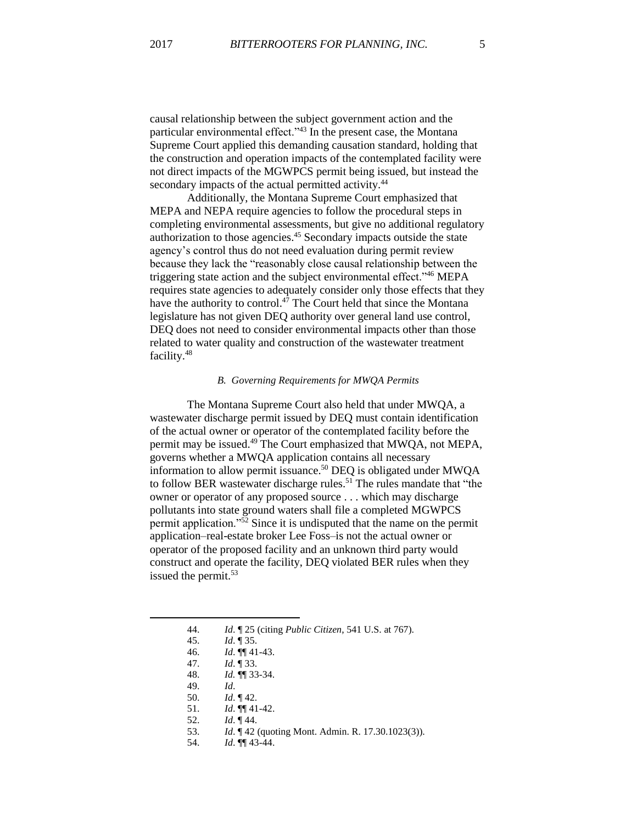causal relationship between the subject government action and the particular environmental effect."<sup>43</sup> In the present case, the Montana Supreme Court applied this demanding causation standard, holding that the construction and operation impacts of the contemplated facility were not direct impacts of the MGWPCS permit being issued, but instead the secondary impacts of the actual permitted activity.<sup>44</sup>

Additionally, the Montana Supreme Court emphasized that MEPA and NEPA require agencies to follow the procedural steps in completing environmental assessments, but give no additional regulatory authorization to those agencies. <sup>45</sup> Secondary impacts outside the state agency's control thus do not need evaluation during permit review because they lack the "reasonably close causal relationship between the triggering state action and the subject environmental effect."<sup>46</sup> MEPA requires state agencies to adequately consider only those effects that they have the authority to control. $47$  The Court held that since the Montana legislature has not given DEQ authority over general land use control, DEQ does not need to consider environmental impacts other than those related to water quality and construction of the wastewater treatment facility.<sup>48</sup>

#### *B. Governing Requirements for MWQA Permits*

The Montana Supreme Court also held that under MWQA, a wastewater discharge permit issued by DEQ must contain identification of the actual owner or operator of the contemplated facility before the permit may be issued.<sup>49</sup> The Court emphasized that MWQA, not MEPA, governs whether a MWQA application contains all necessary information to allow permit issuance.<sup>50</sup> DEQ is obligated under MWQA to follow BER wastewater discharge rules.<sup>51</sup> The rules mandate that "the owner or operator of any proposed source . . . which may discharge pollutants into state ground waters shall file a completed MGWPCS permit application."<sup>52</sup> Since it is undisputed that the name on the permit application–real-estate broker Lee Foss–is not the actual owner or operator of the proposed facility and an unknown third party would construct and operate the facility, DEQ violated BER rules when they issued the permit.<sup>53</sup>

47. *Id*. ¶ 33.

49. *Id*.

- 52. *Id*. ¶ 44.
- 53. *Id*. ¶ 42 (quoting Mont. Admin. R. 17.30.1023(3)).
- 54. *Id*. ¶¶ 43-44.

<sup>44.</sup> *Id*. ¶ 25 (citing *Public Citizen*, 541 U.S. at 767).

<sup>45.</sup> *Id*. ¶ 35.

<sup>46.</sup> *Id*. ¶¶ 41-43.

<sup>48.</sup> *Id.* ¶¶ 33-34.

<sup>50.</sup> *Id*. ¶ 42.

<sup>51.</sup> *Id*. ¶¶ 41-42.